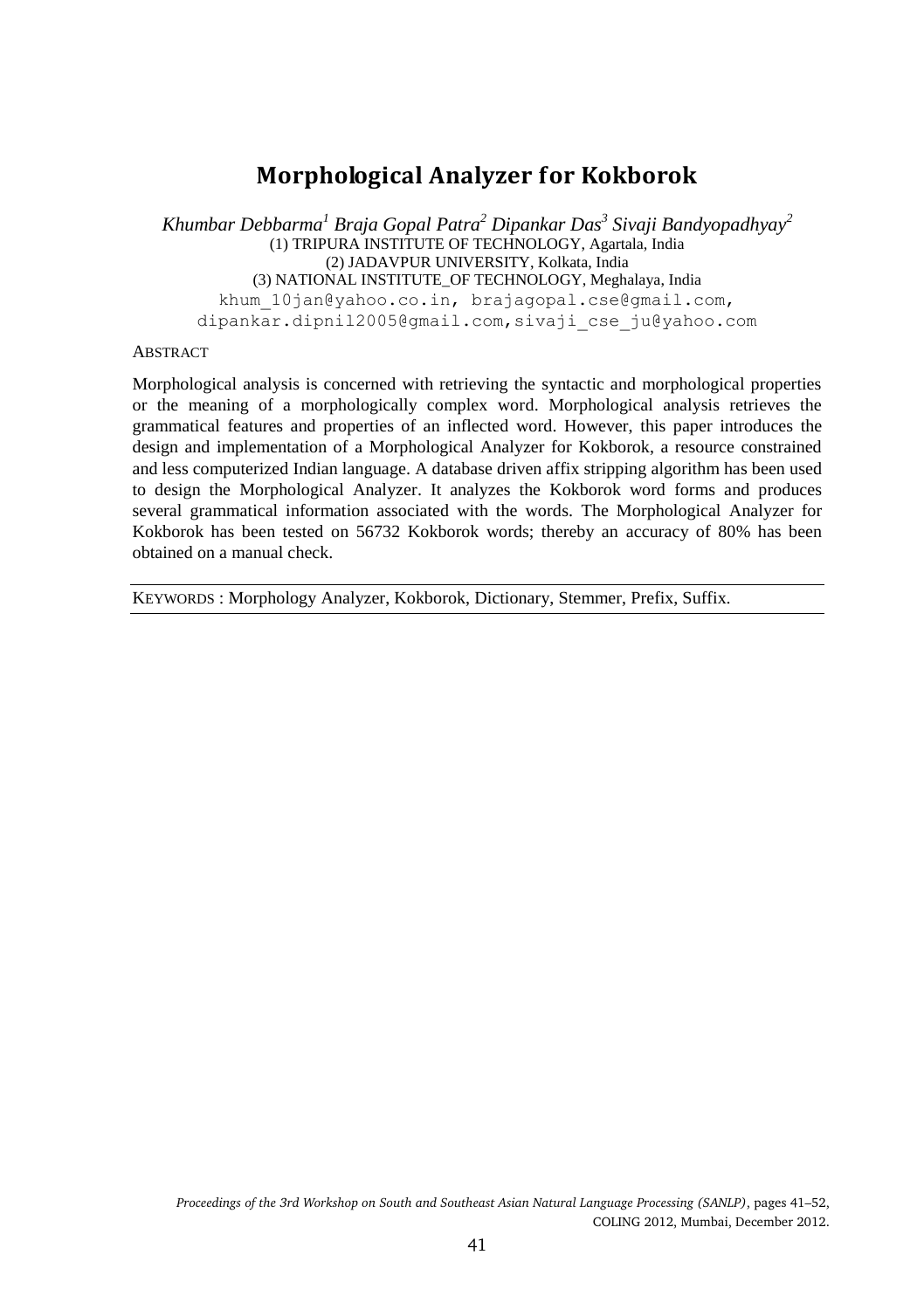# **Morphological Analyzer for Kokborok**

*Khumbar Debbarma<sup>1</sup> Braja Gopal Patra<sup>2</sup> Dipankar Das<sup>3</sup> Sivaji Bandyopadhyay<sup>2</sup>* (1) TRIPURA INSTITUTE OF TECHNOLOGY, Agartala, India (2) JADAVPUR UNIVERSITY, Kolkata, India (3) NATIONAL INSTITUTE\_OF TECHNOLOGY, Meghalaya, India khum 10jan@yahoo.co.in, brajagopal.cse@gmail.com, dipankar.dipnil2005@gmail.com,sivaji\_cse\_ju@yahoo.com

#### ABSTRACT

Morphological analysis is concerned with retrieving the syntactic and morphological properties or the meaning of a morphologically complex word. Morphological analysis retrieves the grammatical features and properties of an inflected word. However, this paper introduces the design and implementation of a Morphological Analyzer for Kokborok, a resource constrained and less computerized Indian language. A database driven affix stripping algorithm has been used to design the Morphological Analyzer. It analyzes the Kokborok word forms and produces several grammatical information associated with the words. The Morphological Analyzer for Kokborok has been tested on 56732 Kokborok words; thereby an accuracy of 80% has been obtained on a manual check.

KEYWORDS : Morphology Analyzer, Kokborok, Dictionary, Stemmer, Prefix, Suffix.

*Proceedings of the 3rd Workshop on South and Southeast Asian Natural Language Processing (SANLP)*, pages 41–52, COLING 2012, Mumbai, December 2012.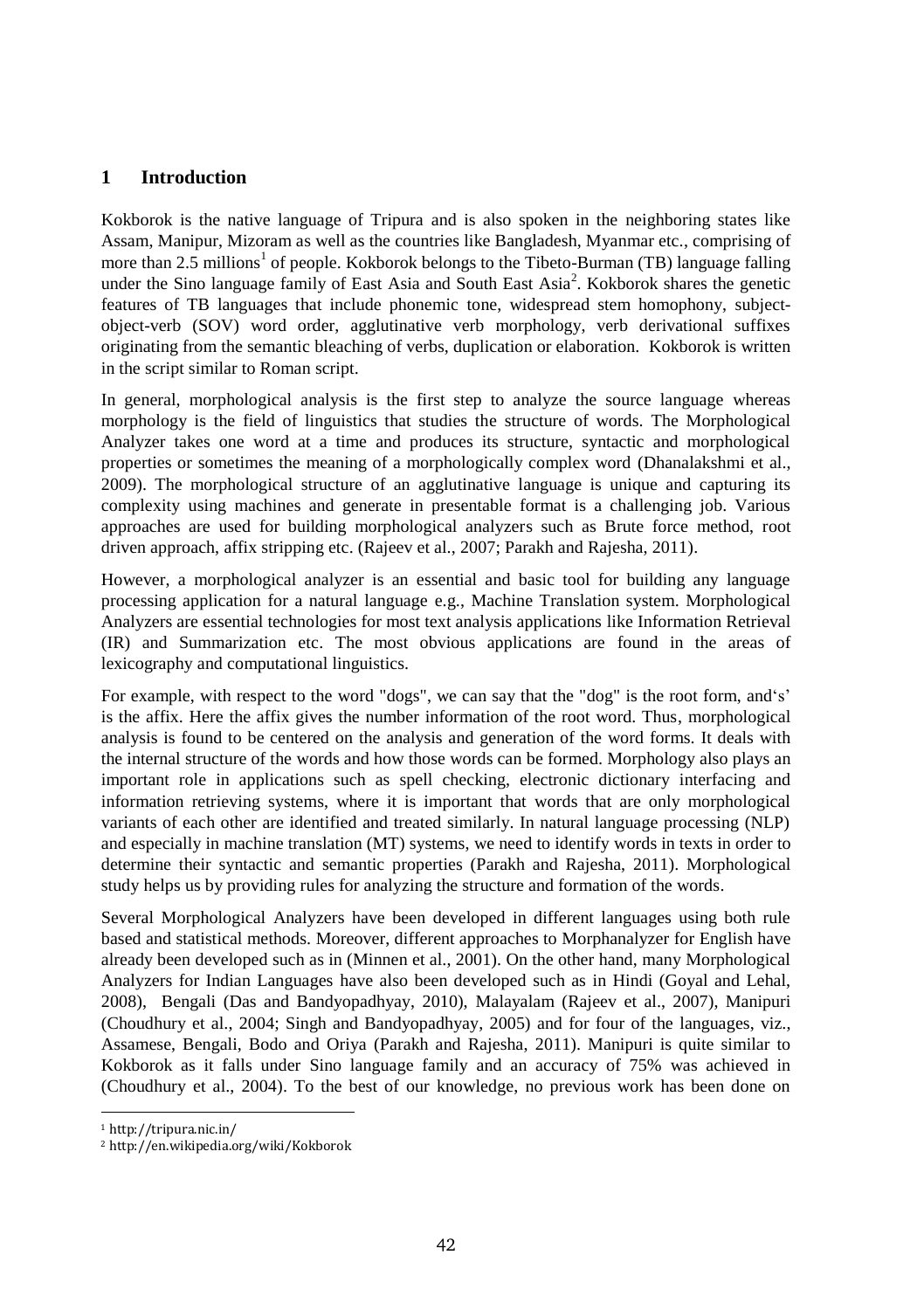#### **1 Introduction**

Kokborok is the native language of Tripura and is also spoken in the neighboring states like Assam, Manipur, Mizoram as well as the countries like Bangladesh, Myanmar etc., comprising of more than 2.5 millions<sup>1</sup> of people. Kokborok belongs to the Tibeto-Burman (TB) language falling under the Sino language family of East Asia and South East Asia<sup>2</sup>. Kokborok shares the genetic features of TB languages that include phonemic tone, widespread stem homophony, subjectobject-verb (SOV) word order, agglutinative verb morphology, verb derivational suffixes originating from the semantic bleaching of verbs, duplication or elaboration. Kokborok is written in the script similar to Roman script.

In general, morphological analysis is the first step to analyze the source language whereas morphology is the field of linguistics that studies the structure of words. The Morphological Analyzer takes one word at a time and produces its structure, syntactic and morphological properties or sometimes the meaning of a morphologically complex word (Dhanalakshmi et al., 2009). The morphological structure of an agglutinative language is unique and capturing its complexity using machines and generate in presentable format is a challenging job. Various approaches are used for building morphological analyzers such as Brute force method, root driven approach, affix stripping etc. (Rajeev et al., 2007; Parakh and Rajesha, 2011).

However, a morphological analyzer is an essential and basic tool for building any language processing application for a natural language e.g., Machine Translation system. Morphological Analyzers are essential technologies for most text analysis applications like Information Retrieval (IR) and Summarization etc. The most obvious applications are found in the areas of lexicography and computational linguistics.

For example, with respect to the word "dogs", we can say that the "dog" is the root form, and's' is the affix. Here the affix gives the number information of the root word. Thus, morphological analysis is found to be centered on the analysis and generation of the word forms. It deals with the internal structure of the words and how those words can be formed. Morphology also plays an important role in applications such as spell checking, electronic dictionary interfacing and information retrieving systems, where it is important that words that are only morphological variants of each other are identified and treated similarly. In natural language processing (NLP) and especially in machine translation (MT) systems, we need to identify words in texts in order to determine their syntactic and semantic properties (Parakh and Rajesha, 2011). Morphological study helps us by providing rules for analyzing the structure and formation of the words.

Several Morphological Analyzers have been developed in different languages using both rule based and statistical methods. Moreover, different approaches to Morphanalyzer for English have already been developed such as in (Minnen et al., 2001). On the other hand, many Morphological Analyzers for Indian Languages have also been developed such as in Hindi (Goyal and Lehal, 2008), Bengali (Das and Bandyopadhyay, 2010), Malayalam (Rajeev et al., 2007), Manipuri (Choudhury et al., 2004; Singh and Bandyopadhyay, 2005) and for four of the languages, viz., Assamese, Bengali, Bodo and Oriya (Parakh and Rajesha, 2011). Manipuri is quite similar to Kokborok as it falls under Sino language family and an accuracy of 75% was achieved in (Choudhury et al., 2004). To the best of our knowledge, no previous work has been done on

 $\overline{\phantom{0}}$ 

<sup>1</sup> http://tripura.nic.in/

<sup>2</sup> http://en.wikipedia.org/wiki/Kokborok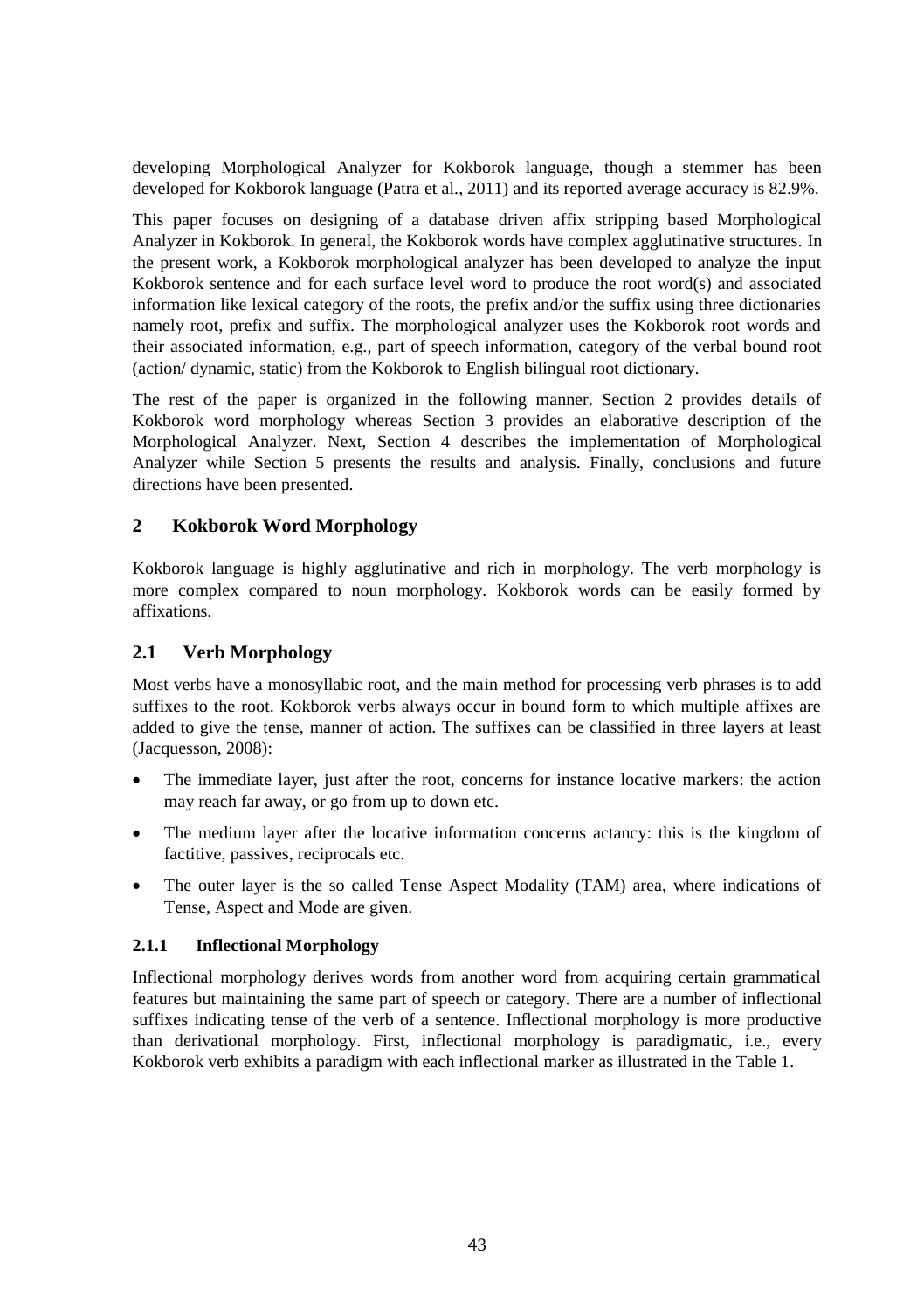developing Morphological Analyzer for Kokborok language, though a stemmer has been developed for Kokborok language (Patra et al., 2011) and its reported average accuracy is 82.9%.

This paper focuses on designing of a database driven affix stripping based Morphological Analyzer in Kokborok. In general, the Kokborok words have complex agglutinative structures. In the present work, a Kokborok morphological analyzer has been developed to analyze the input Kokborok sentence and for each surface level word to produce the root word(s) and associated information like lexical category of the roots, the prefix and/or the suffix using three dictionaries namely root, prefix and suffix. The morphological analyzer uses the Kokborok root words and their associated information, e.g., part of speech information, category of the verbal bound root (action/ dynamic, static) from the Kokborok to English bilingual root dictionary.

The rest of the paper is organized in the following manner. Section 2 provides details of Kokborok word morphology whereas Section 3 provides an elaborative description of the Morphological Analyzer. Next, Section 4 describes the implementation of Morphological Analyzer while Section 5 presents the results and analysis. Finally, conclusions and future directions have been presented.

## **2 Kokborok Word Morphology**

Kokborok language is highly agglutinative and rich in morphology. The verb morphology is more complex compared to noun morphology. Kokborok words can be easily formed by affixations.

#### **2.1 Verb Morphology**

Most verbs have a monosyllabic root, and the main method for processing verb phrases is to add suffixes to the root. Kokborok verbs always occur in bound form to which multiple affixes are added to give the tense, manner of action. The suffixes can be classified in three layers at least (Jacquesson, 2008):

- The immediate layer, just after the root, concerns for instance locative markers: the action may reach far away, or go from up to down etc.
- The medium layer after the locative information concerns actancy: this is the kingdom of factitive, passives, reciprocals etc.
- The outer layer is the so called Tense Aspect Modality (TAM) area, where indications of Tense, Aspect and Mode are given.

#### **2.1.1 Inflectional Morphology**

Inflectional morphology derives words from another word from acquiring certain grammatical features but maintaining the same part of speech or category. There are a number of inflectional suffixes indicating tense of the verb of a sentence. Inflectional morphology is more productive than derivational morphology. First, inflectional morphology is paradigmatic, i.e., every Kokborok verb exhibits a paradigm with each inflectional marker as illustrated in the Table 1.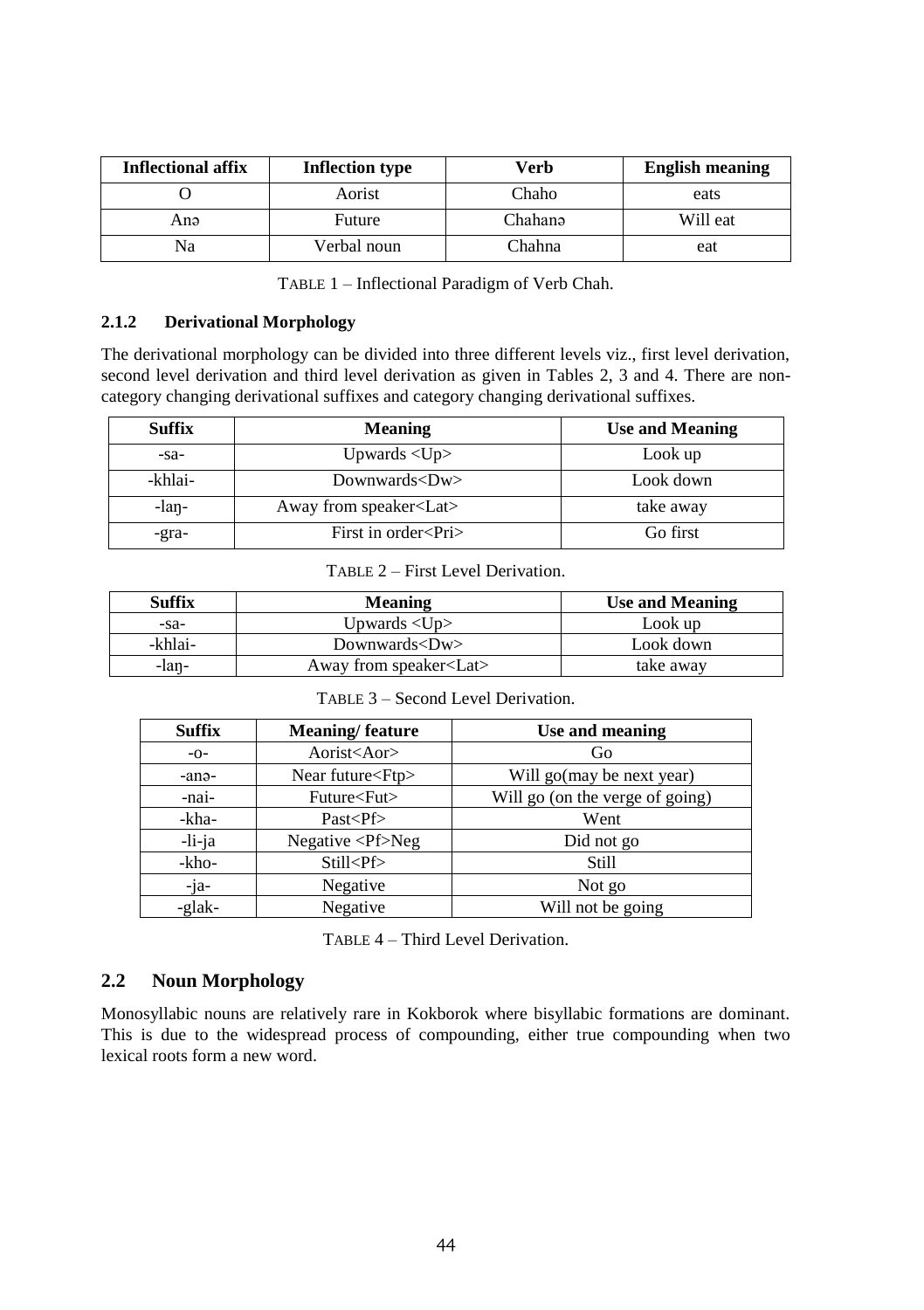| <b>Inflectional affix</b> | <b>Inflection type</b> | Verb    | <b>English meaning</b> |
|---------------------------|------------------------|---------|------------------------|
|                           | Aorist                 | Chaho   | eats                   |
| Anə                       | Future                 | Chahanə | Will eat               |
| Na                        | Verbal noun            | Chahna  | eat                    |

TABLE 1 – Inflectional Paradigm of Verb Chah.

# **2.1.2 Derivational Morphology**

The derivational morphology can be divided into three different levels viz., first level derivation, second level derivation and third level derivation as given in Tables 2, 3 and 4. There are noncategory changing derivational suffixes and category changing derivational suffixes.

| <b>Suffix</b> | Meaning                        | <b>Use and Meaning</b> |
|---------------|--------------------------------|------------------------|
| $-Sa-$        | Upwards $\langle$ Up $\rangle$ | Look up                |
| -khlai-       | Downwards <dw></dw>            | Look down              |
| -lan-         | Away from speaker <lat></lat>  | take away              |
| -gra-         | First in order <pri></pri>     | Go first               |

TABLE 2 – First Level Derivation.

| <b>Suffix</b> | <b>Meaning</b>                 | <b>Use and Meaning</b> |
|---------------|--------------------------------|------------------------|
| -sa-          | Upwards $\langle$ Up $\rangle$ | Look up                |
| -khlai-       | Downwards $&$ Dw $>$           | Look down              |
| -lan-         | Away from speaker <lat></lat>  | take away              |

TABLE 3 – Second Level Derivation.

| <b>Suffix</b> | <b>Meaning/feature</b>           | Use and meaning                 |
|---------------|----------------------------------|---------------------------------|
| $-O-$         | Aorist <aor></aor>               | Go                              |
| -anə-         | Near future <ftp></ftp>          | Will go(may be next year)       |
| -nai-         | Future <fut></fut>               | Will go (on the verge of going) |
| -kha-         | Past < Pf                        | Went                            |
| -li-ja        | Negative $\langle Pf\rangle$ Neg | Did not go                      |
| -kho-         | Still <pf></pf>                  | Still                           |
| -ja-          | Negative                         | Not go                          |
| -glak-        | Negative                         | Will not be going               |

TABLE 4 – Third Level Derivation.

# **2.2 Noun Morphology**

Monosyllabic nouns are relatively rare in Kokborok where bisyllabic formations are dominant. This is due to the widespread process of compounding, either true compounding when two lexical roots form a new word.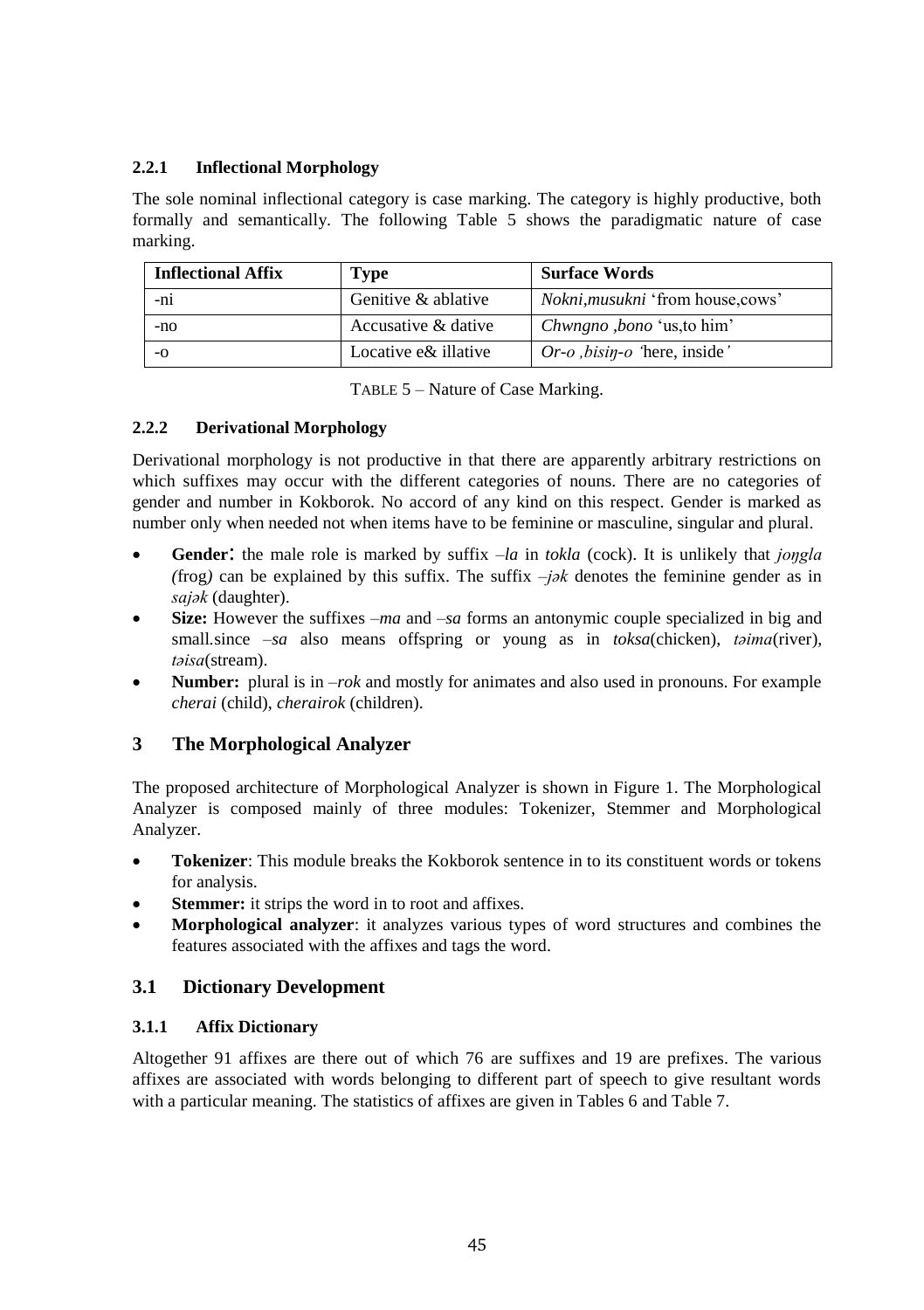# **2.2.1 Inflectional Morphology**

The sole nominal inflectional category is case marking. The category is highly productive, both formally and semantically. The following Table 5 shows the paradigmatic nature of case marking.

| <b>Inflectional Affix</b> | <b>Type</b>          | <b>Surface Words</b>                                     |
|---------------------------|----------------------|----------------------------------------------------------|
| -ni                       | Genitive & ablative  | <i>Nokni, musukni</i> 'from house, cows'                 |
| $-nO$                     | Accusative & dative  | Chwngno, bono 'us, to him'                               |
| $-0$                      | Locative e& illative | $Or$ - <i>o</i> , <i>bisin</i> - <i>o</i> 'here, inside' |

TABLE 5 – Nature of Case Marking.

#### **2.2.2 Derivational Morphology**

Derivational morphology is not productive in that there are apparently arbitrary restrictions on which suffixes may occur with the different categories of nouns. There are no categories of gender and number in Kokborok. No accord of any kind on this respect. Gender is marked as number only when needed not when items have to be feminine or masculine, singular and plural.

- **Gender**: the male role is marked by suffix –*la* in *tokla* (cock). It is unlikely that *joŋgla (frog)* can be explained by this suffix. The suffix  $-j\partial k$  denotes the feminine gender as in *sajǝk* (daughter).
- **Size:** However the suffixes –*ma* and –*sa* forms an antonymic couple specialized in big and small<sub>i</sub> since –*sa* also means offspring or young as in *toksa*(chicken), *t* $\theta$ *ima*(river), *tǝisa*(stream).
- **Number:** plural is in –*rok* and mostly for animates and also used in pronouns. For example *cherai* (child), *cherairok* (children).

# **3 The Morphological Analyzer**

The proposed architecture of Morphological Analyzer is shown in Figure 1. The Morphological Analyzer is composed mainly of three modules: Tokenizer, Stemmer and Morphological Analyzer.

- **Tokenizer**: This module breaks the Kokborok sentence in to its constituent words or tokens for analysis.
- **Stemmer:** it strips the word in to root and affixes.
- **Morphological analyzer**: it analyzes various types of word structures and combines the features associated with the affixes and tags the word.

# **3.1 Dictionary Development**

## **3.1.1 Affix Dictionary**

Altogether 91 affixes are there out of which 76 are suffixes and 19 are prefixes. The various affixes are associated with words belonging to different part of speech to give resultant words with a particular meaning. The statistics of affixes are given in Tables 6 and Table 7.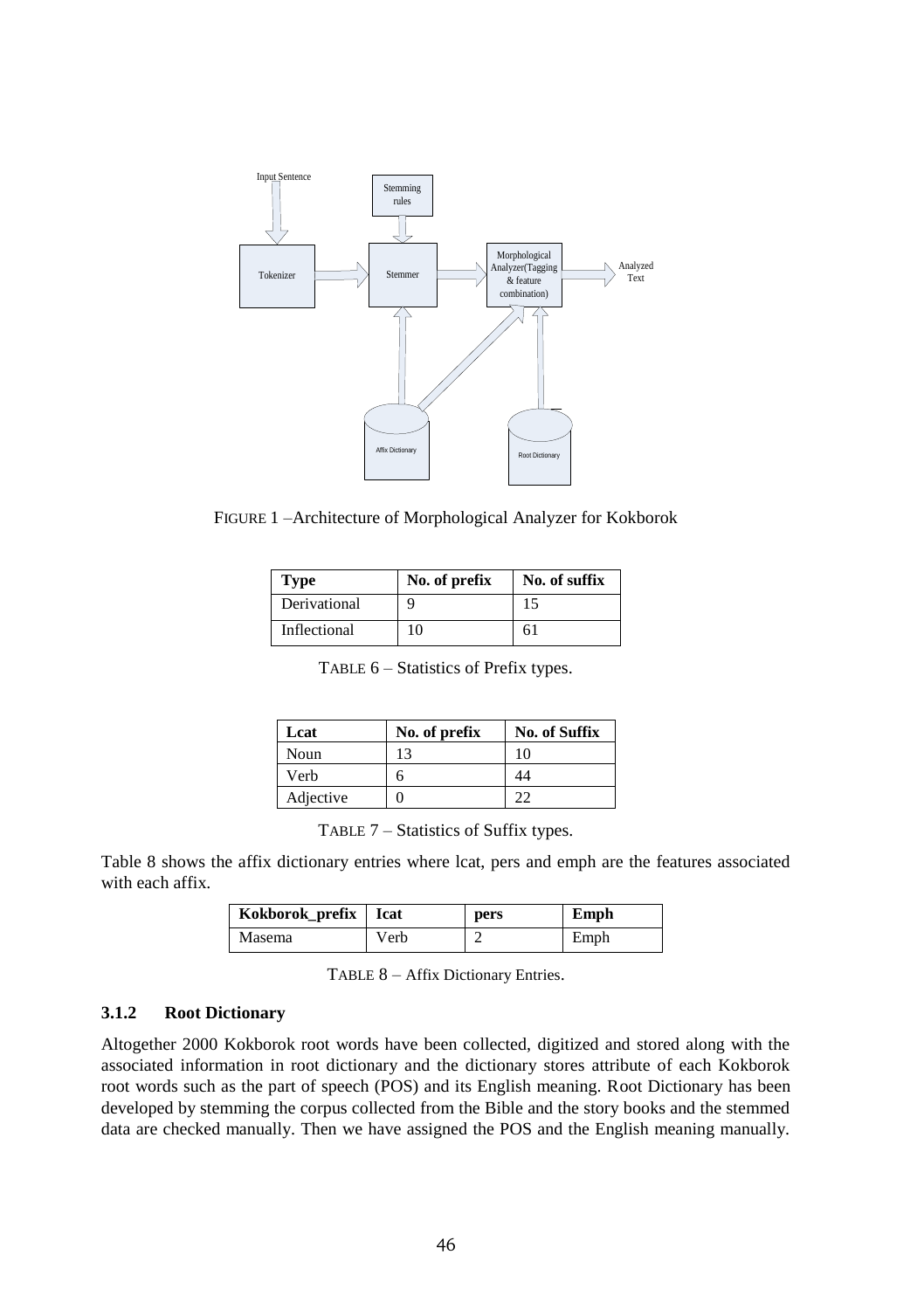

FIGURE 1 –Architecture of Morphological Analyzer for Kokborok

| Type         | No. of prefix | No. of suffix |
|--------------|---------------|---------------|
| Derivational |               | 15            |
| Inflectional | 10            | 61            |

TABLE 6 – Statistics of Prefix types.

| Lcat      | No. of prefix | <b>No. of Suffix</b> |
|-----------|---------------|----------------------|
| Noun      | 13            | 10                   |
| Verb      |               | 44                   |
| Adjective |               | າາ                   |

TABLE 7 – Statistics of Suffix types.

Table 8 shows the affix dictionary entries where lcat, pers and emph are the features associated with each affix.

| Kokborok_prefix   Icat |      | pers | Emph |
|------------------------|------|------|------|
| Masema                 | Verb |      | Emph |

TABLE 8 – Affix Dictionary Entries.

# **3.1.2 Root Dictionary**

Altogether 2000 Kokborok root words have been collected, digitized and stored along with the associated information in root dictionary and the dictionary stores attribute of each Kokborok root words such as the part of speech (POS) and its English meaning. Root Dictionary has been developed by stemming the corpus collected from the Bible and the story books and the stemmed data are checked manually. Then we have assigned the POS and the English meaning manually.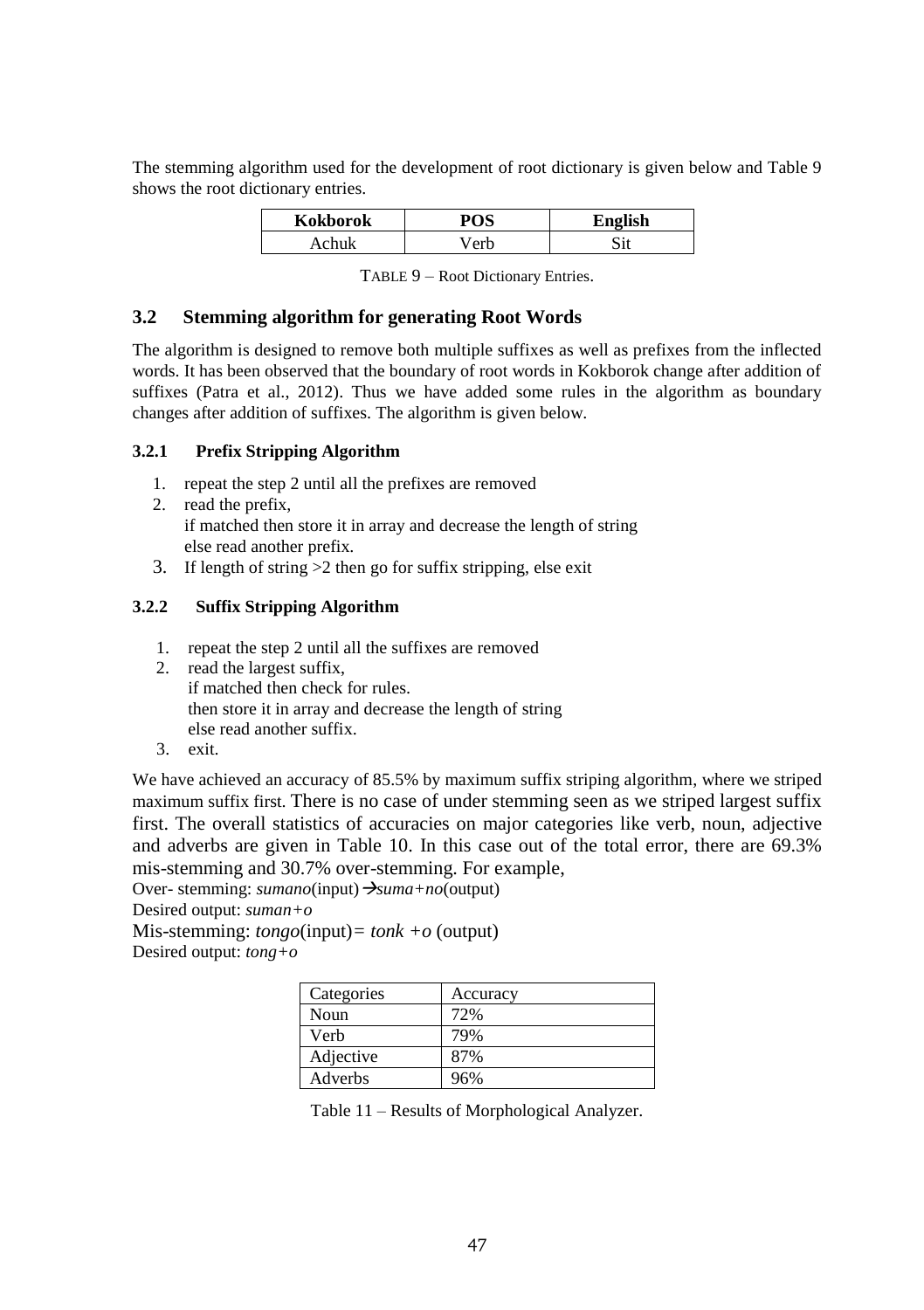The stemming algorithm used for the development of root dictionary is given below and Table 9 shows the root dictionary entries.

| <b>Kokborok</b> | $n \alpha c$ | <b>English</b> |
|-----------------|--------------|----------------|
|                 |              |                |

TABLE 9 – Root Dictionary Entries.

#### **3.2 Stemming algorithm for generating Root Words**

The algorithm is designed to remove both multiple suffixes as well as prefixes from the inflected words. It has been observed that the boundary of root words in Kokborok change after addition of suffixes (Patra et al., 2012). Thus we have added some rules in the algorithm as boundary changes after addition of suffixes. The algorithm is given below.

## **3.2.1 Prefix Stripping Algorithm**

- 1. repeat the step 2 until all the prefixes are removed
- 2. read the prefix, if matched then store it in array and decrease the length of string else read another prefix.
- 3. If length of string >2 then go for suffix stripping, else exit

# **3.2.2 Suffix Stripping Algorithm**

- 1. repeat the step 2 until all the suffixes are removed
- 2. read the largest suffix. if matched then check for rules. then store it in array and decrease the length of string else read another suffix.
- 3. exit.

We have achieved an accuracy of 85.5% by maximum suffix striping algorithm, where we striped maximum suffix first. There is no case of under stemming seen as we striped largest suffix first. The overall statistics of accuracies on major categories like verb, noun, adjective and adverbs are given in Table 10. In this case out of the total error, there are 69.3% mis-stemming and 30.7% over-stemming. For example,

Over- stemming: *sumano*(input) → *suma+no*(output)

Desired output: *suman+o*

Mis-stemming: *tongo*(input)*= tonk +o* (output) Desired output: *tong+o*

| Categories | Accuracy |
|------------|----------|
| Noun       | 72%      |
| Verb       | 79%      |
| Adjective  | 87%      |
| Adverbs    | 96%      |

Table 11 – Results of Morphological Analyzer.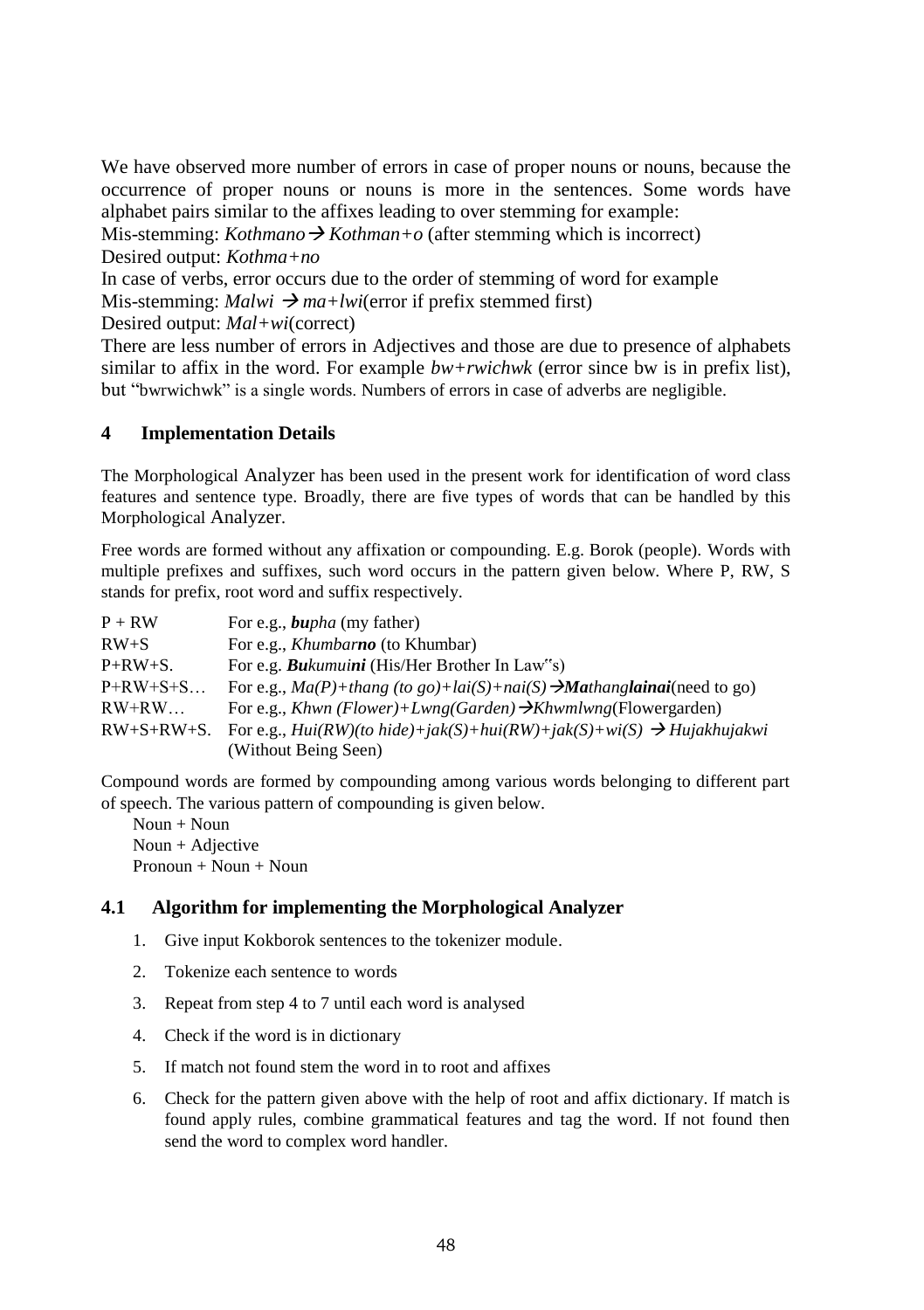We have observed more number of errors in case of proper nouns or nouns, because the occurrence of proper nouns or nouns is more in the sentences. Some words have alphabet pairs similar to the affixes leading to over stemming for example:

Mis-stemming: *Kothmano*  $\rightarrow$  *Kothman+o* (after stemming which is incorrect) Desired output: *Kothma+no*

In case of verbs, error occurs due to the order of stemming of word for example Mis-stemming:  $Malwi \rightarrow ma+lw$  (error if prefix stemmed first)

Desired output: *Mal+wi*(correct)

There are less number of errors in Adjectives and those are due to presence of alphabets similar to affix in the word. For example *bw+rwichwk* (error since bw is in prefix list), but "bwrwichwk" is a single words. Numbers of errors in case of adverbs are negligible.

# **4 Implementation Details**

The Morphological Analyzer has been used in the present work for identification of word class features and sentence type. Broadly, there are five types of words that can be handled by this Morphological Analyzer.

Free words are formed without any affixation or compounding. E.g. Borok (people). Words with multiple prefixes and suffixes, such word occurs in the pattern given below. Where P, RW, S stands for prefix, root word and suffix respectively.

| $P + RW$            | For e.g., <b><i>bupha</i></b> (my father)                                              |
|---------------------|----------------------------------------------------------------------------------------|
| $RW + S$            | For e.g., <i>Khumbarno</i> (to Khumbar)                                                |
| $P+RW+S.$           | For e.g. <b>Bu</b> kumuini (His/Her Brother In Law's)                                  |
| $P+RW+S+S$          | For e.g., $Ma(P)$ +thang (to go)+lai(S)+nai(S) $\rightarrow$ Mathanglainai(need to go) |
| $RW+RW$             | For e.g., Khwn (Flower)+Lwng(Garden) $\rightarrow$ Khwmlwng(Flowergarden)              |
| $RW + S + RW + S$ . | For e.g., $Hui(RW)(to hide)+jak(S)+hui(RW)+jak(S)+wi(S) \rightarrow Huiakhujakwi$      |
|                     | (Without Being Seen)                                                                   |

Compound words are formed by compounding among various words belonging to different part of speech. The various pattern of compounding is given below.

Noun + Noun Noun + Adjective Pronoun + Noun + Noun

# **4.1 Algorithm for implementing the Morphological Analyzer**

- 1. Give input Kokborok sentences to the tokenizer module.
- 2. Tokenize each sentence to words
- 3. Repeat from step 4 to 7 until each word is analysed
- 4. Check if the word is in dictionary
- 5. If match not found stem the word in to root and affixes
- 6. Check for the pattern given above with the help of root and affix dictionary. If match is found apply rules, combine grammatical features and tag the word. If not found then send the word to complex word handler.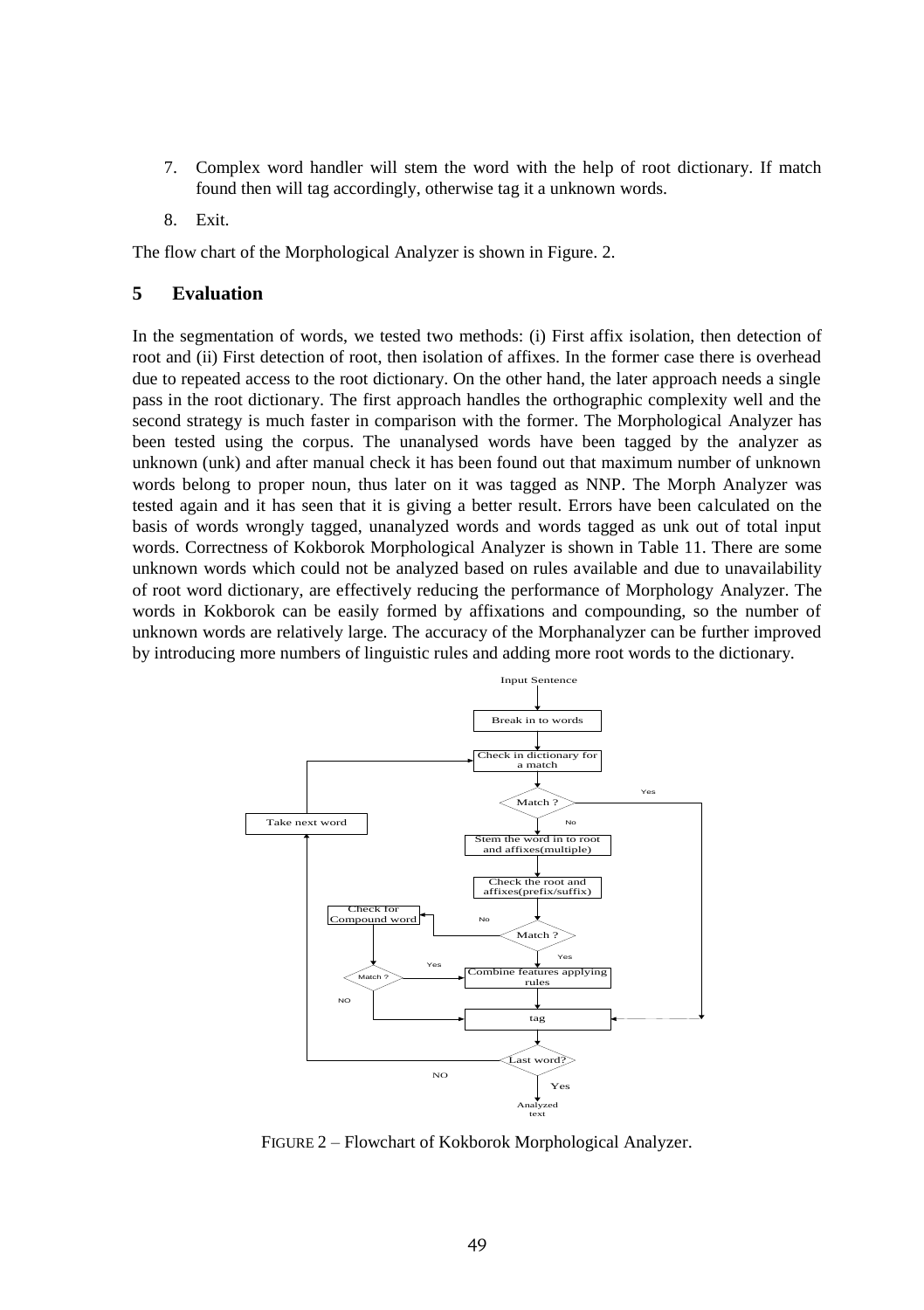- 7. Complex word handler will stem the word with the help of root dictionary. If match found then will tag accordingly, otherwise tag it a unknown words.
- 8. Exit.

The flow chart of the Morphological Analyzer is shown in Figure. 2.

#### **5 Evaluation**

In the segmentation of words, we tested two methods: (i) First affix isolation, then detection of root and (ii) First detection of root, then isolation of affixes. In the former case there is overhead due to repeated access to the root dictionary. On the other hand, the later approach needs a single pass in the root dictionary. The first approach handles the orthographic complexity well and the second strategy is much faster in comparison with the former. The Morphological Analyzer has been tested using the corpus. The unanalysed words have been tagged by the analyzer as unknown (unk) and after manual check it has been found out that maximum number of unknown words belong to proper noun, thus later on it was tagged as NNP. The Morph Analyzer was tested again and it has seen that it is giving a better result. Errors have been calculated on the basis of words wrongly tagged, unanalyzed words and words tagged as unk out of total input words. Correctness of Kokborok Morphological Analyzer is shown in Table 11. There are some unknown words which could not be analyzed based on rules available and due to unavailability of root word dictionary, are effectively reducing the performance of Morphology Analyzer. The words in Kokborok can be easily formed by affixations and compounding, so the number of unknown words are relatively large. The accuracy of the Morphanalyzer can be further improved by introducing more numbers of linguistic rules and adding more root words to the dictionary.



FIGURE 2 – Flowchart of Kokborok Morphological Analyzer.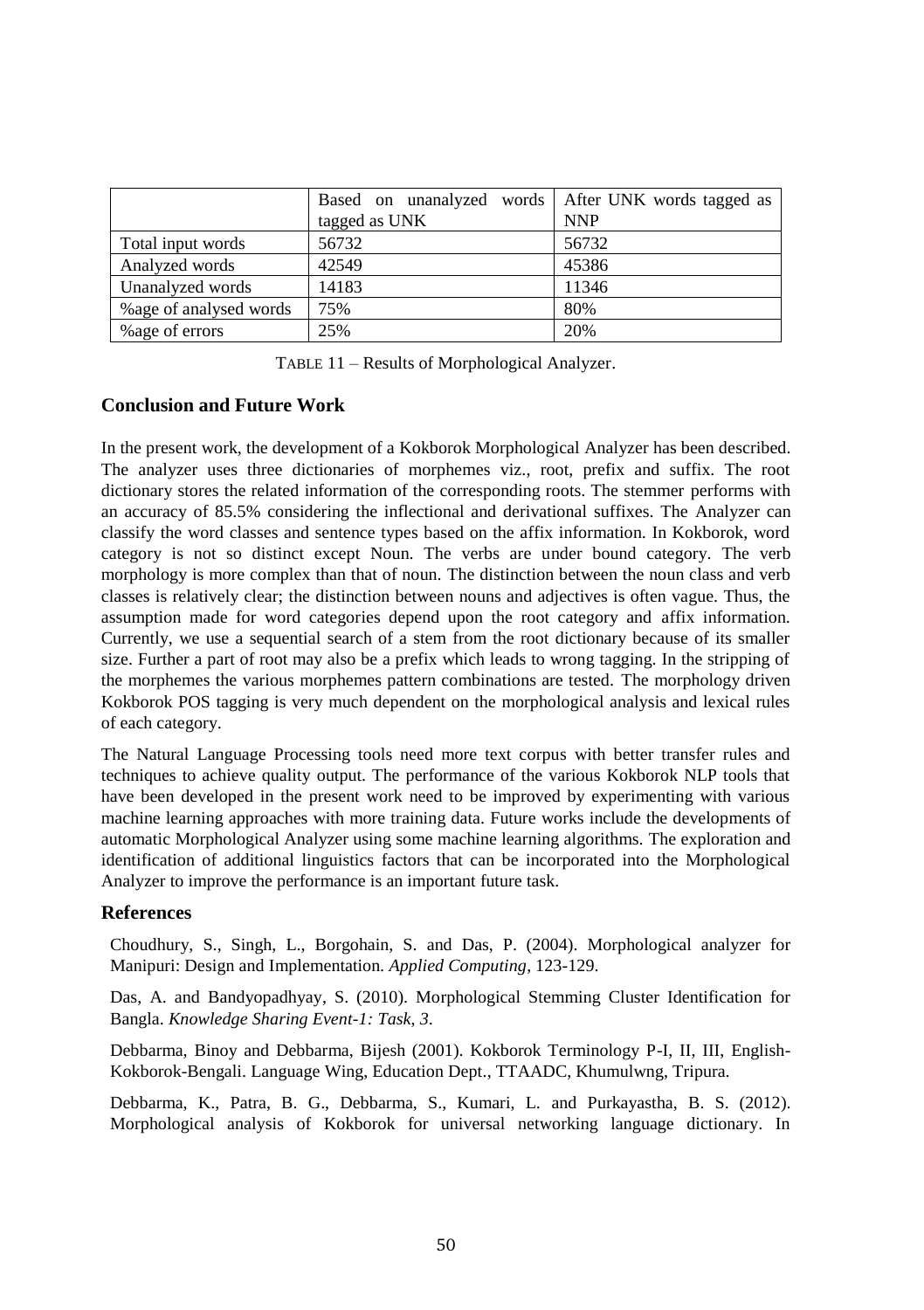|                         | Based on unanalyzed words   After UNK words tagged as<br>tagged as UNK | <b>NNP</b> |
|-------------------------|------------------------------------------------------------------------|------------|
|                         |                                                                        |            |
| Total input words       | 56732                                                                  | 56732      |
| Analyzed words          | 42549                                                                  | 45386      |
| Unanalyzed words        | 14183                                                                  | 11346      |
| % age of analysed words | 75%                                                                    | 80%        |
| % age of errors         | 25%                                                                    | 20%        |

TABLE 11 – Results of Morphological Analyzer.

# **Conclusion and Future Work**

In the present work, the development of a Kokborok Morphological Analyzer has been described. The analyzer uses three dictionaries of morphemes viz., root, prefix and suffix. The root dictionary stores the related information of the corresponding roots. The stemmer performs with an accuracy of 85.5% considering the inflectional and derivational suffixes. The Analyzer can classify the word classes and sentence types based on the affix information. In Kokborok, word category is not so distinct except Noun. The verbs are under bound category. The verb morphology is more complex than that of noun. The distinction between the noun class and verb classes is relatively clear; the distinction between nouns and adjectives is often vague. Thus, the assumption made for word categories depend upon the root category and affix information. Currently, we use a sequential search of a stem from the root dictionary because of its smaller size. Further a part of root may also be a prefix which leads to wrong tagging. In the stripping of the morphemes the various morphemes pattern combinations are tested. The morphology driven Kokborok POS tagging is very much dependent on the morphological analysis and lexical rules of each category.

The Natural Language Processing tools need more text corpus with better transfer rules and techniques to achieve quality output. The performance of the various Kokborok NLP tools that have been developed in the present work need to be improved by experimenting with various machine learning approaches with more training data. Future works include the developments of automatic Morphological Analyzer using some machine learning algorithms. The exploration and identification of additional linguistics factors that can be incorporated into the Morphological Analyzer to improve the performance is an important future task.

#### **References**

Choudhury, S., Singh, L., Borgohain, S. and Das, P. (2004). Morphological analyzer for Manipuri: Design and Implementation. *Applied Computing*, 123-129.

Das, A. and Bandyopadhyay, S. (2010). Morphological Stemming Cluster Identification for Bangla. *Knowledge Sharing Event-1: Task*, *3*.

Debbarma, Binoy and Debbarma, Bijesh (2001). Kokborok Terminology P-I, II, III, English-Kokborok-Bengali. Language Wing, Education Dept., TTAADC, Khumulwng, Tripura.

Debbarma, K., Patra, B. G., Debbarma, S., Kumari, L. and Purkayastha, B. S. (2012). Morphological analysis of Kokborok for universal networking language dictionary. In